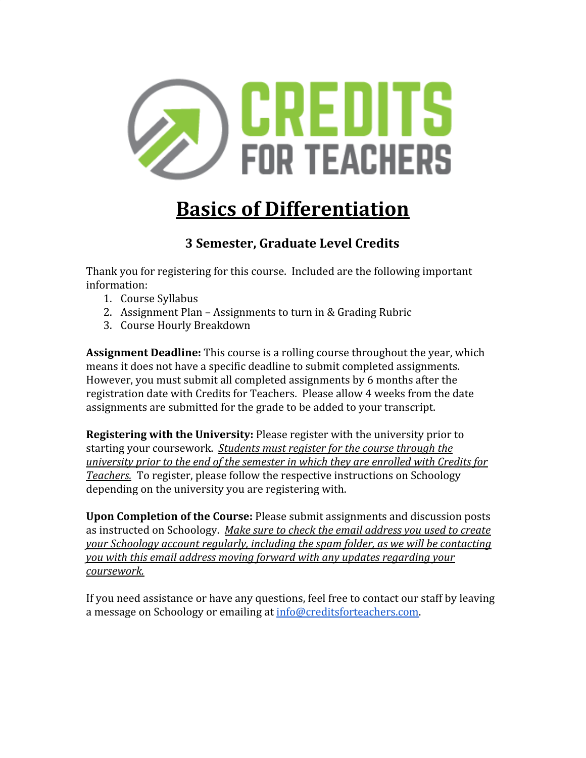

# **Basics of Differentiation**

# **3 Semester, Graduate Level Credits**

Thank you for registering for this course. Included are the following important information:

- 1. Course Syllabus
- 2. Assignment Plan Assignments to turn in & Grading Rubric
- 3. Course Hourly Breakdown

**Assignment Deadline:** This course is a rolling course throughout the year, which means it does not have a specific deadline to submit completed assignments. However, you must submit all completed assignments by 6 months after the registration date with Credits for Teachers. Please allow 4 weeks from the date assignments are submitted for the grade to be added to your transcript.

**Registering with the University:** Please register with the university prior to starting your coursework. *Students must register for the course through the university prior to the end of the semester in which they are enrolled with Credits for Teachers.* To register, please follow the respective instructions on Schoology depending on the university you are registering with.

**Upon Completion of the Course:** Please submit assignments and discussion posts as instructed on Schoology. *Make sure to check the email address you used to create your Schoology account regularly, including the spam folder, as we will be contacting you with this email address moving forward with any updates regarding your coursework.*

If you need assistance or have any questions, feel free to contact our staff by leaving a message on Schoology or emailing at [info@creditsforteachers.com.](mailto:info@creditsforteachers.com)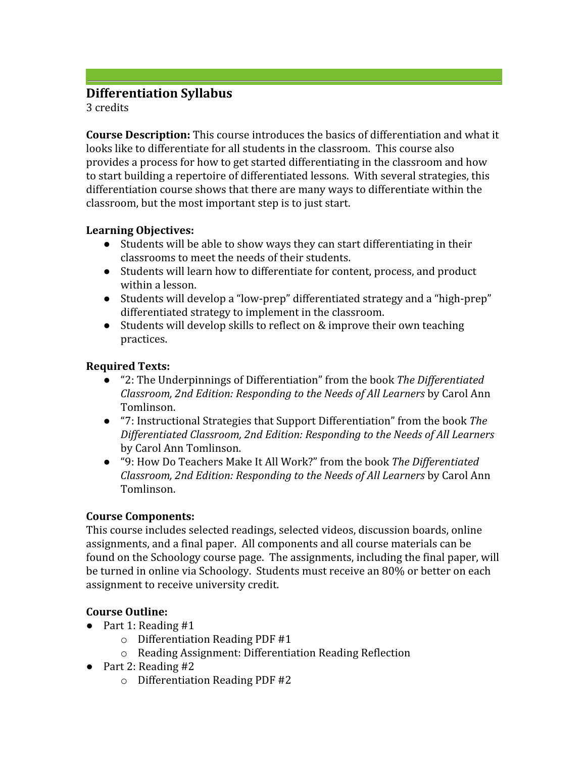# **Differentiation Syllabus**

3 credits

**Course Description:** This course introduces the basics of differentiation and what it looks like to differentiate for all students in the classroom. This course also provides a process for how to get started differentiating in the classroom and how to start building a repertoire of differentiated lessons. With several strategies, this differentiation course shows that there are many ways to differentiate within the classroom, but the most important step is to just start.

# **Learning Objectives:**

- Students will be able to show ways they can start differentiating in their classrooms to meet the needs of their students.
- Students will learn how to differentiate for content, process, and product within a lesson.
- Students will develop a "low-prep" differentiated strategy and a "high-prep" differentiated strategy to implement in the classroom.
- Students will develop skills to reflect on & improve their own teaching practices.

# **Required Texts:**

- "2: The Underpinnings of Differentiation" from the book *The Differentiated Classroom, 2nd Edition: Responding to the Needs of All Learners* by Carol Ann Tomlinson.
- "7: Instructional Strategies that Support Differentiation" from the book *The Differentiated Classroom, 2nd Edition: Responding to the Needs of All Learners* by Carol Ann Tomlinson.
- "9: How Do Teachers Make It All Work?" from the book *The Differentiated Classroom, 2nd Edition: Responding to the Needs of All Learners* by Carol Ann Tomlinson.

# **Course Components:**

This course includes selected readings, selected videos, discussion boards, online assignments, and a final paper. All components and all course materials can be found on the Schoology course page. The assignments, including the final paper, will be turned in online via Schoology. Students must receive an 80% or better on each assignment to receive university credit.

# **Course Outline:**

- Part 1: Reading #1
	- o Differentiation Reading PDF #1
	- o Reading Assignment: Differentiation Reading Reflection
- Part 2: Reading #2
	- o Differentiation Reading PDF #2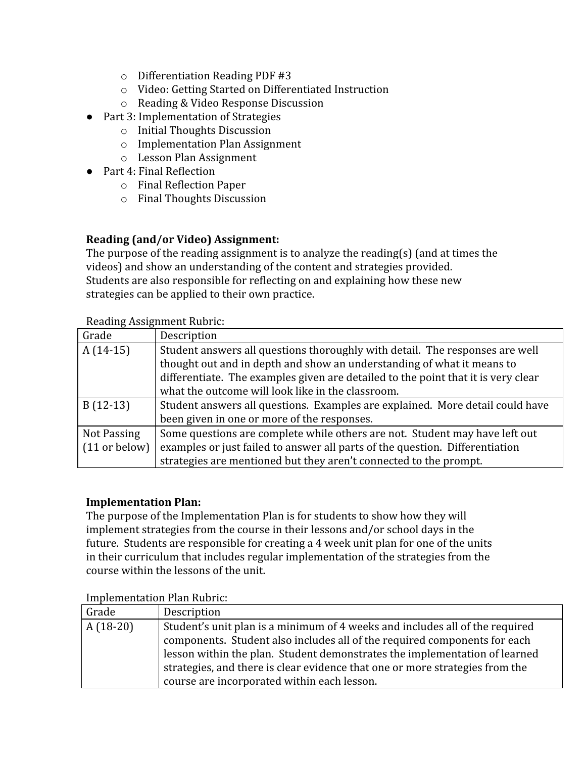- o Differentiation Reading PDF #3
- o Video: Getting Started on Differentiated Instruction
- o Reading & Video Response Discussion
- Part 3: Implementation of Strategies
	- o Initial Thoughts Discussion
	- o Implementation Plan Assignment
	- o Lesson Plan Assignment
- Part 4: Final Reflection
	- o Final Reflection Paper
	- o Final Thoughts Discussion

# **Reading (and/or Video) Assignment:**

The purpose of the reading assignment is to analyze the reading(s) (and at times the videos) and show an understanding of the content and strategies provided. Students are also responsible for reflecting on and explaining how these new strategies can be applied to their own practice.

#### Reading Assignment Rubric:

| Grade           | Description                                                                       |
|-----------------|-----------------------------------------------------------------------------------|
| $A(14-15)$      | Student answers all questions thoroughly with detail. The responses are well      |
|                 | thought out and in depth and show an understanding of what it means to            |
|                 | differentiate. The examples given are detailed to the point that it is very clear |
|                 | what the outcome will look like in the classroom.                                 |
| $B(12-13)$      | Student answers all questions. Examples are explained. More detail could have     |
|                 | been given in one or more of the responses.                                       |
| Not Passing     | Some questions are complete while others are not. Student may have left out       |
| $(11$ or below) | examples or just failed to answer all parts of the question. Differentiation      |
|                 | strategies are mentioned but they aren't connected to the prompt.                 |

#### **Implementation Plan:**

The purpose of the Implementation Plan is for students to show how they will implement strategies from the course in their lessons and/or school days in the future. Students are responsible for creating a 4 week unit plan for one of the units in their curriculum that includes regular implementation of the strategies from the course within the lessons of the unit.

#### Implementation Plan Rubric:

| Grade      | Description                                                                  |
|------------|------------------------------------------------------------------------------|
| $A(18-20)$ | Student's unit plan is a minimum of 4 weeks and includes all of the required |
|            | components. Student also includes all of the required components for each    |
|            | lesson within the plan. Student demonstrates the implementation of learned   |
|            | strategies, and there is clear evidence that one or more strategies from the |
|            | course are incorporated within each lesson.                                  |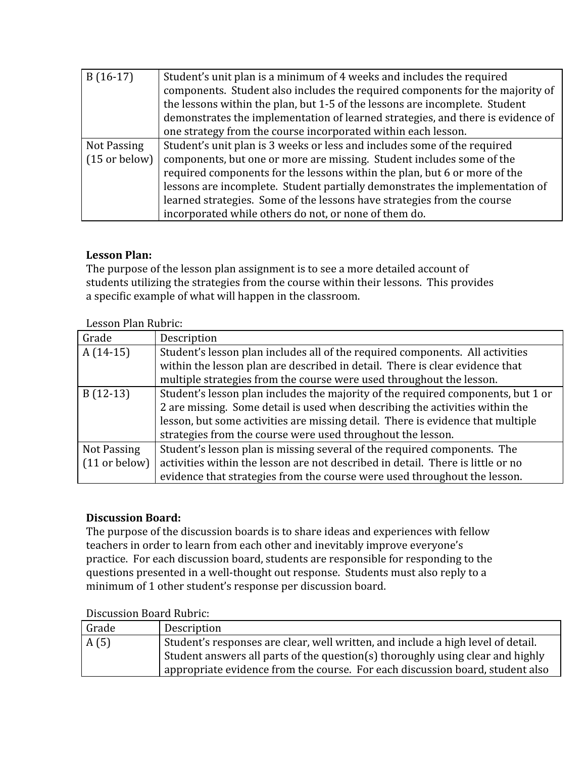| $B(16-17)$              | Student's unit plan is a minimum of 4 weeks and includes the required           |  |  |
|-------------------------|---------------------------------------------------------------------------------|--|--|
|                         | components. Student also includes the required components for the majority of   |  |  |
|                         | the lessons within the plan, but 1-5 of the lessons are incomplete. Student     |  |  |
|                         | demonstrates the implementation of learned strategies, and there is evidence of |  |  |
|                         | one strategy from the course incorporated within each lesson.                   |  |  |
| Not Passing             | Student's unit plan is 3 weeks or less and includes some of the required        |  |  |
| $(15 \text{ or below})$ | components, but one or more are missing. Student includes some of the           |  |  |
|                         | required components for the lessons within the plan, but 6 or more of the       |  |  |
|                         | lessons are incomplete. Student partially demonstrates the implementation of    |  |  |
|                         | learned strategies. Some of the lessons have strategies from the course         |  |  |
|                         | incorporated while others do not, or none of them do.                           |  |  |

# **Lesson Plan:**

The purpose of the lesson plan assignment is to see a more detailed account of students utilizing the strategies from the course within their lessons. This provides a specific example of what will happen in the classroom.

|  | Lesson Plan Rubric: |
|--|---------------------|
|  |                     |

| Grade         | Description                                                                      |  |
|---------------|----------------------------------------------------------------------------------|--|
| $A(14-15)$    | Student's lesson plan includes all of the required components. All activities    |  |
|               | within the lesson plan are described in detail. There is clear evidence that     |  |
|               | multiple strategies from the course were used throughout the lesson.             |  |
| $B(12-13)$    | Student's lesson plan includes the majority of the required components, but 1 or |  |
|               | 2 are missing. Some detail is used when describing the activities within the     |  |
|               | lesson, but some activities are missing detail. There is evidence that multiple  |  |
|               | strategies from the course were used throughout the lesson.                      |  |
| Not Passing   | Student's lesson plan is missing several of the required components. The         |  |
| (11 or below) | activities within the lesson are not described in detail. There is little or no  |  |
|               | evidence that strategies from the course were used throughout the lesson.        |  |

# **Discussion Board:**

The purpose of the discussion boards is to share ideas and experiences with fellow teachers in order to learn from each other and inevitably improve everyone's practice. For each discussion board, students are responsible for responding to the questions presented in a well-thought out response. Students must also reply to a minimum of 1 other student's response per discussion board.

| Discussion Doura Rubric. |                                                                                  |  |
|--------------------------|----------------------------------------------------------------------------------|--|
| Grade                    | Description                                                                      |  |
| A(5)                     | Student's responses are clear, well written, and include a high level of detail. |  |
|                          | Student answers all parts of the question(s) thoroughly using clear and highly   |  |
|                          | appropriate evidence from the course. For each discussion board, student also    |  |

Discussion Board Rubric: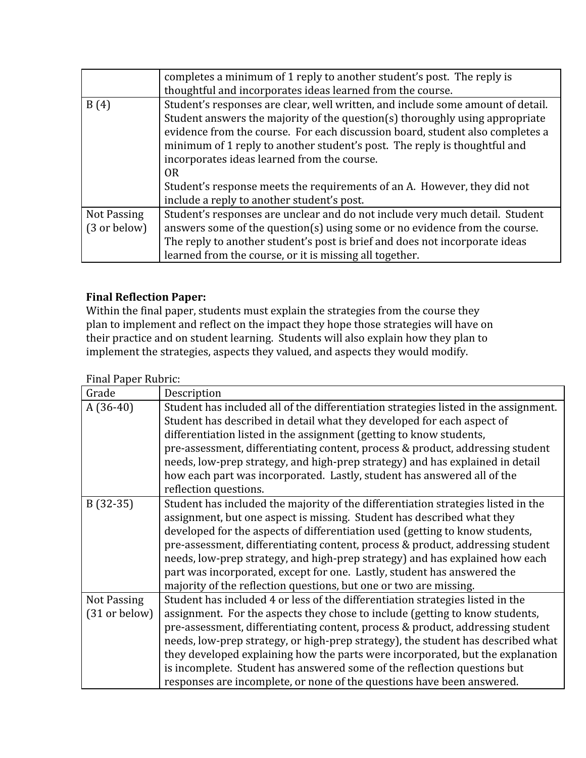|                             | completes a minimum of 1 reply to another student's post. The reply is<br>thoughtful and incorporates ideas learned from the course.                                                                                                                                                                                                                                                                                                                                                                                     |
|-----------------------------|--------------------------------------------------------------------------------------------------------------------------------------------------------------------------------------------------------------------------------------------------------------------------------------------------------------------------------------------------------------------------------------------------------------------------------------------------------------------------------------------------------------------------|
| B(4)                        | Student's responses are clear, well written, and include some amount of detail.<br>Student answers the majority of the question(s) thoroughly using appropriate<br>evidence from the course. For each discussion board, student also completes a<br>minimum of 1 reply to another student's post. The reply is thoughtful and<br>incorporates ideas learned from the course.<br>0 <sub>R</sub><br>Student's response meets the requirements of an A. However, they did not<br>include a reply to another student's post. |
| Not Passing<br>(3 or below) | Student's responses are unclear and do not include very much detail. Student<br>answers some of the question(s) using some or no evidence from the course.<br>The reply to another student's post is brief and does not incorporate ideas<br>learned from the course, or it is missing all together.                                                                                                                                                                                                                     |

# **Final Reflection Paper:**

Within the final paper, students must explain the strategies from the course they plan to implement and reflect on the impact they hope those strategies will have on their practice and on student learning. Students will also explain how they plan to implement the strategies, aspects they valued, and aspects they would modify.

#### Final Paper Rubric:

| Grade         | Description                                                                          |  |  |
|---------------|--------------------------------------------------------------------------------------|--|--|
| $A(36-40)$    | Student has included all of the differentiation strategies listed in the assignment. |  |  |
|               | Student has described in detail what they developed for each aspect of               |  |  |
|               | differentiation listed in the assignment (getting to know students,                  |  |  |
|               | pre-assessment, differentiating content, process & product, addressing student       |  |  |
|               | needs, low-prep strategy, and high-prep strategy) and has explained in detail        |  |  |
|               | how each part was incorporated. Lastly, student has answered all of the              |  |  |
|               | reflection questions.                                                                |  |  |
| $B(32-35)$    | Student has included the majority of the differentiation strategies listed in the    |  |  |
|               | assignment, but one aspect is missing. Student has described what they               |  |  |
|               | developed for the aspects of differentiation used (getting to know students,         |  |  |
|               | pre-assessment, differentiating content, process & product, addressing student       |  |  |
|               | needs, low-prep strategy, and high-prep strategy) and has explained how each         |  |  |
|               | part was incorporated, except for one. Lastly, student has answered the              |  |  |
|               | majority of the reflection questions, but one or two are missing.                    |  |  |
| Not Passing   | Student has included 4 or less of the differentiation strategies listed in the       |  |  |
| (31 or below) | assignment. For the aspects they chose to include (getting to know students,         |  |  |
|               | pre-assessment, differentiating content, process & product, addressing student       |  |  |
|               | needs, low-prep strategy, or high-prep strategy), the student has described what     |  |  |
|               | they developed explaining how the parts were incorporated, but the explanation       |  |  |
|               | is incomplete. Student has answered some of the reflection questions but             |  |  |
|               | responses are incomplete, or none of the questions have been answered.               |  |  |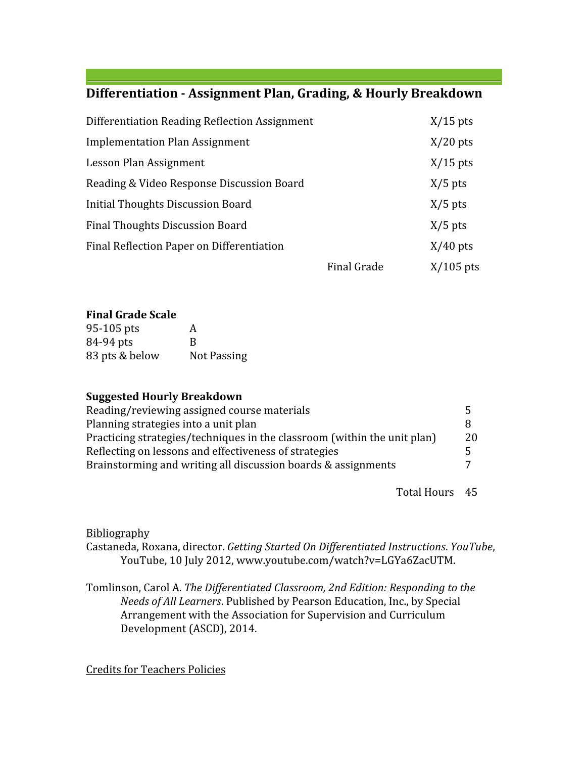# **Differentiation - Assignment Plan, Grading, & Hourly Breakdown**

| Differentiation Reading Reflection Assignment |                    | $X/15$ pts  |
|-----------------------------------------------|--------------------|-------------|
| Implementation Plan Assignment                |                    | $X/20$ pts  |
| Lesson Plan Assignment                        |                    | $X/15$ pts  |
| Reading & Video Response Discussion Board     |                    | $X/5$ pts   |
| <b>Initial Thoughts Discussion Board</b>      |                    | $X/5$ pts   |
| <b>Final Thoughts Discussion Board</b>        |                    | $X/5$ pts   |
| Final Reflection Paper on Differentiation     |                    | $X/40$ pts  |
|                                               | <b>Final Grade</b> | $X/105$ pts |

#### **Final Grade Scale**

| 95-105 pts     | A           |
|----------------|-------------|
| 84-94 pts      | R           |
| 83 pts & below | Not Passing |

#### **Suggested Hourly Breakdown**

| Reading/reviewing assigned course materials                              | $\mathcal{F}$ |
|--------------------------------------------------------------------------|---------------|
| Planning strategies into a unit plan                                     |               |
| Practicing strategies/techniques in the classroom (within the unit plan) | 20            |
| Reflecting on lessons and effectiveness of strategies                    |               |
| Brainstorming and writing all discussion boards & assignments            |               |
|                                                                          |               |

Total Hours 45

#### **Bibliography**

Castaneda, Roxana, director. *Getting Started On Differentiated Instructions*. *YouTube*, YouTube, 10 July 2012, www.youtube.com/watch?v=LGYa6ZacUTM.

Tomlinson, Carol A. *The Differentiated Classroom, 2nd Edition: Responding to the Needs of All Learners*. Published by Pearson Education, Inc., by Special Arrangement with the Association for Supervision and Curriculum Development (ASCD), 2014.

Credits for Teachers Policies